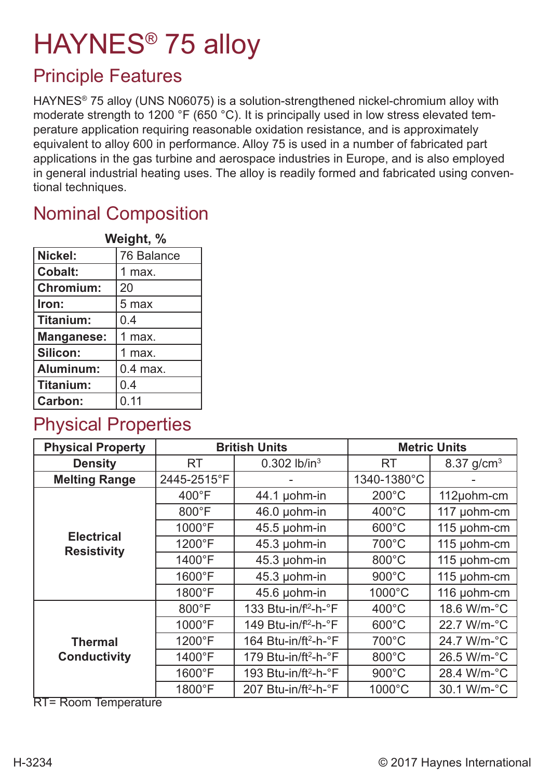# HAYNES® 75 alloy

#### Principle Features

HAYNES® 75 alloy (UNS N06075) is a solution-strengthened nickel-chromium alloy with moderate strength to 1200 °F (650 °C). It is principally used in low stress elevated temperature application requiring reasonable oxidation resistance, and is approximately equivalent to alloy 600 in performance. Alloy 75 is used in a number of fabricated part applications in the gas turbine and aerospace industries in Europe, and is also employed in general industrial heating uses. The alloy is readily formed and fabricated using conventional techniques.

### Nominal Composition

| Weight, %        |            |  |  |  |
|------------------|------------|--|--|--|
| Nickel:          | 76 Balance |  |  |  |
| Cobalt:          | 1 max.     |  |  |  |
| <b>Chromium:</b> | 20         |  |  |  |
| Iron:            | 5 max      |  |  |  |
| Titanium:        | 0.4        |  |  |  |
| Manganese:       | 1 max.     |  |  |  |
| Silicon:         | 1 max.     |  |  |  |
| Aluminum:        | $0.4$ max. |  |  |  |
| Titanium:        | 0.4        |  |  |  |
| <b>Carbon:</b>   | 0.11       |  |  |  |

#### Physical Properties

| <b>Physical Property</b>                |                        | <b>British Units</b>             | <b>Metric Units</b>  |              |  |
|-----------------------------------------|------------------------|----------------------------------|----------------------|--------------|--|
| <b>Density</b>                          | <b>RT</b>              | $0.302$ lb/in <sup>3</sup>       | <b>RT</b>            | 8.37 $g/cm3$ |  |
| <b>Melting Range</b>                    | 2445-2515°F            |                                  | 1340-1380°C          |              |  |
|                                         | $400^{\circ}$ F        | 44.1 µohm-in                     | $200^{\circ}$ C      | 112µohm-cm   |  |
|                                         | 800°F                  | 46.0 µohm-in                     | $400^{\circ}$ C      | 117 µohm-cm  |  |
|                                         | 1000°F                 | 45.5 µohm-in                     | $600^{\circ}$ C      | 115 µohm-cm  |  |
| <b>Electrical</b><br><b>Resistivity</b> | 1200°F                 | 45.3 µohm-in                     | 700°C                | 115 µohm-cm  |  |
|                                         | 1400°F<br>45.3 µohm-in |                                  | 800°C                | 115 µohm-cm  |  |
|                                         | $1600^{\circ}F$        | 45.3 µohm-in                     | $900^{\circ}$ C      | 115 µohm-cm  |  |
|                                         | 1800°F                 | 45.6 µohm-in                     | 1000°C               | 116 µohm-cm  |  |
| <b>Thermal</b><br><b>Conductivity</b>   | $800^{\circ}$ F        | 133 Btu-in/f <sup>t2</sup> -h-°F | $400^{\circ}$ C      | 18.6 W/m-°C  |  |
|                                         | $1000^{\circ}$ F       | 149 Btu-in/f <sup>t2</sup> -h-°F | $600^{\circ}$ C      | 22.7 W/m-°C  |  |
|                                         | 1200°F                 | 164 Btu-in/ft <sup>2</sup> -h-°F | 700°C<br>24.7 W/m-°C |              |  |
|                                         | 1400°F                 | 179 Btu-in/ft <sup>2</sup> -h-°F | 800°C                | 26.5 W/m-°C  |  |
|                                         | $1600^{\circ}F$        | 193 Btu-in/ft <sup>2</sup> -h-°F | $900^{\circ}$ C      | 28.4 W/m-°C  |  |
|                                         | 1800°F                 | 207 Btu-in/ft <sup>2</sup> -h-°F | 1000°C               | 30.1 W/m-°C  |  |

RT= Room Temperature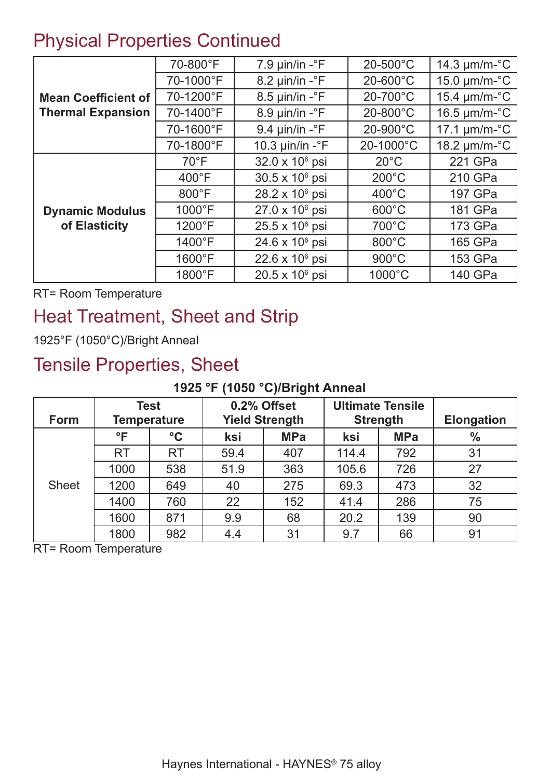#### Physical Properties Continued

|                            | 70-800°F        | 7.9 $\mu$ in/in - $\textdegree$ F  | $20 - 500$ °C      | 14.3 $\mu$ m/m- $\textdegree$ C |  |
|----------------------------|-----------------|------------------------------------|--------------------|---------------------------------|--|
| <b>Mean Coefficient of</b> | 70-1000°F       | $8.2 \mu$ in/in - $\textdegree$ F  | 20-600°C           | $15.0 \mu m/m$ - $\degree$ C    |  |
|                            | 70-1200°F       | $8.5 \mu$ in/in - $\textdegree$ F  | 20-700°C           | 15.4 $\mu$ m/m- $\mathrm{°C}$   |  |
| <b>Thermal Expansion</b>   | 70-1400°F       | $8.9 \mu$ in/in - $\degree$ F      | $20-800^{\circ}$ C | 16.5 $\mu$ m/m- $\textdegree$ C |  |
|                            | 70-1600°F       | 9.4 $\mu$ in/in - $\textdegree$ F  | 20-900°C           | $17.1 \mu m/m$ -°C              |  |
|                            | 70-1800°F       | 10.3 $\mu$ in/in - $\textdegree$ F | 20-1000°C          | 18.2 µm/m-°C                    |  |
|                            | $70^{\circ}$ F  | 32.0 x 10 <sup>6</sup> psi         | $20^{\circ}$ C     | 221 GPa                         |  |
|                            | $400^{\circ}$ F | 30.5 x 10 <sup>6</sup> psi         | $200^{\circ}$ C    | 210 GPa                         |  |
|                            | $800^{\circ}$ F | 28.2 x 10 <sup>6</sup> psi         | $400^{\circ}$ C    | 197 GPa                         |  |
| <b>Dynamic Modulus</b>     | $1000^{\circ}F$ | $27.0 \times 10^6$ psi             | $600^{\circ}$ C    | 181 GPa                         |  |
| of Elasticity              | 1200°F          | 25.5 x 10 <sup>6</sup> psi         | $700^{\circ}$ C    | 173 GPa                         |  |
|                            | 1400°F          | 24.6 x 10 <sup>6</sup> psi         | $800^{\circ}$ C    | 165 GPa                         |  |
|                            | 1600°F          | $22.6 \times 10^6$ psi             | $900^{\circ}$ C    | 153 GPa                         |  |
|                            | 1800°F          | 20.5 x 10 <sup>6</sup> psi         | 1000°C             | 140 GPa                         |  |

RT= Room Temperature

### Heat Treatment, Sheet and Strip

1925°F (1050°C)/Bright Anneal

#### Tensile Properties, Sheet

#### **1925 °F (1050 °C)/Bright Anneal**

| Form         | Test<br><b>Temperature</b> |                 | 0.2% Offset<br><b>Yield Strength</b> |            | <b>Ultimate Tensile</b><br><b>Strength</b> |            | <b>Elongation</b> |
|--------------|----------------------------|-----------------|--------------------------------------|------------|--------------------------------------------|------------|-------------------|
|              | $\mathsf{P}$               | $\rm ^{\circ}C$ | ksi                                  | <b>MPa</b> | ksi                                        | <b>MPa</b> | $\frac{0}{0}$     |
|              | <b>RT</b>                  | <b>RT</b>       | 59.4                                 | 407        | 114.4                                      | 792        | 31                |
| <b>Sheet</b> | 1000                       | 538             | 51.9                                 | 363        | 105.6                                      | 726        | 27                |
|              | 1200                       | 649             | 40                                   | 275        | 69.3                                       | 473        | 32                |
|              | 1400                       | 760             | 22                                   | 152        | 41.4                                       | 286        | 75                |
|              | 1600                       | 871             | 9.9                                  | 68         | 20.2                                       | 139        | 90                |
|              | 1800                       | 982             | 4.4                                  | 31         | 9.7                                        | 66         | 91                |

RT= Room Temperature